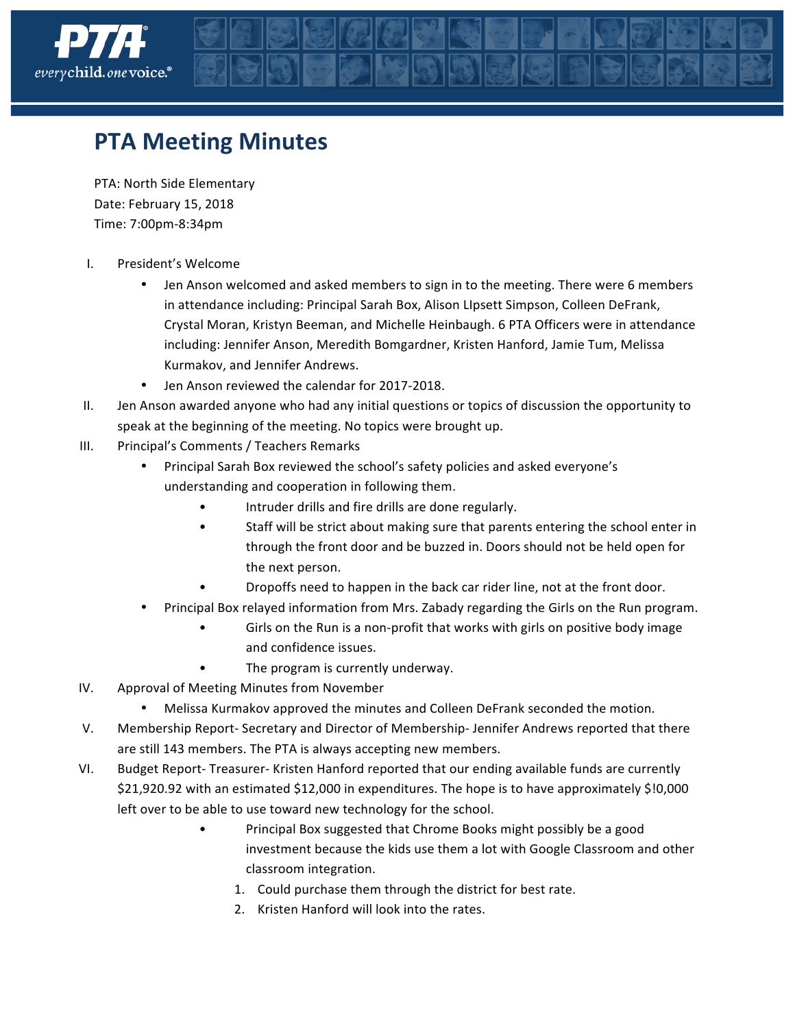

## **PTA Meeting Minutes**

PTA: North Side Elementary Date: February 15, 2018 Time: 7:00pm-8:34pm

- I. President's Welcome
	- Jen Anson welcomed and asked members to sign in to the meeting. There were 6 members in attendance including: Principal Sarah Box, Alison LIpsett Simpson, Colleen DeFrank, Crystal Moran, Kristyn Beeman, and Michelle Heinbaugh. 6 PTA Officers were in attendance including: Jennifer Anson, Meredith Bomgardner, Kristen Hanford, Jamie Tum, Melissa Kurmakov, and Jennifer Andrews.
	- Jen Anson reviewed the calendar for 2017-2018.
- II. Jen Anson awarded anyone who had any initial questions or topics of discussion the opportunity to speak at the beginning of the meeting. No topics were brought up.
- III. Principal's Comments / Teachers Remarks
	- Principal Sarah Box reviewed the school's safety policies and asked everyone's understanding and cooperation in following them.
		- Intruder drills and fire drills are done regularly.
		- Staff will be strict about making sure that parents entering the school enter in through the front door and be buzzed in. Doors should not be held open for the next person.
		- Dropoffs need to happen in the back car rider line, not at the front door.
	- Principal Box relayed information from Mrs. Zabady regarding the Girls on the Run program.
		- Girls on the Run is a non-profit that works with girls on positive body image and confidence issues.
		- The program is currently underway.
- IV. Approval of Meeting Minutes from November
	- Melissa Kurmakov approved the minutes and Colleen DeFrank seconded the motion.
- V. Membership Report- Secretary and Director of Membership-Jennifer Andrews reported that there are still 143 members. The PTA is always accepting new members.
- VI. Budget Report- Treasurer- Kristen Hanford reported that our ending available funds are currently \$21,920.92 with an estimated \$12,000 in expenditures. The hope is to have approximately \$!0,000 left over to be able to use toward new technology for the school.
	- Principal Box suggested that Chrome Books might possibly be a good investment because the kids use them a lot with Google Classroom and other classroom integration.
		- 1. Could purchase them through the district for best rate.
		- 2. Kristen Hanford will look into the rates.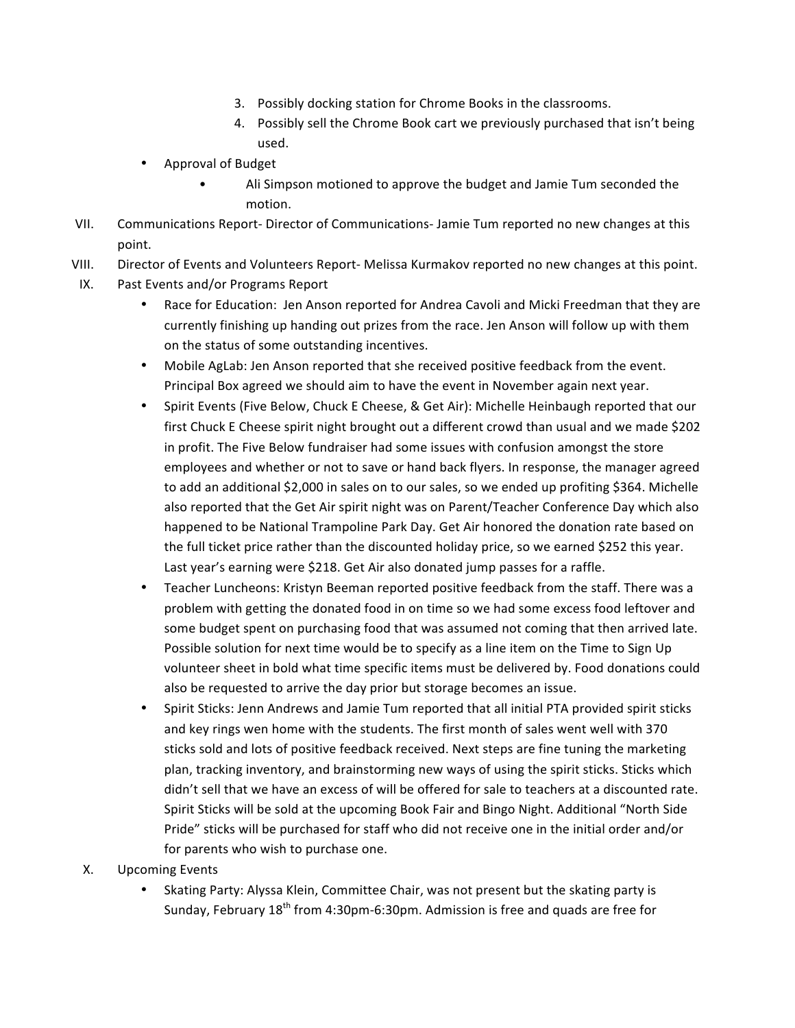- 3. Possibly docking station for Chrome Books in the classrooms.
- 4. Possibly sell the Chrome Book cart we previously purchased that isn't being used.
- Approval of Budget
	- Ali Simpson motioned to approve the budget and Jamie Tum seconded the motion.
- VII. Communications Report- Director of Communications-Jamie Tum reported no new changes at this point.
- VIII. Director of Events and Volunteers Report- Melissa Kurmakov reported no new changes at this point.
- IX. Past Events and/or Programs Report
	- Race for Education: Jen Anson reported for Andrea Cavoli and Micki Freedman that they are currently finishing up handing out prizes from the race. Jen Anson will follow up with them on the status of some outstanding incentives.
	- Mobile AgLab: Jen Anson reported that she received positive feedback from the event. Principal Box agreed we should aim to have the event in November again next year.
	- Spirit Events (Five Below, Chuck E Cheese, & Get Air): Michelle Heinbaugh reported that our first Chuck E Cheese spirit night brought out a different crowd than usual and we made \$202 in profit. The Five Below fundraiser had some issues with confusion amongst the store employees and whether or not to save or hand back flyers. In response, the manager agreed to add an additional \$2,000 in sales on to our sales, so we ended up profiting \$364. Michelle also reported that the Get Air spirit night was on Parent/Teacher Conference Day which also happened to be National Trampoline Park Day. Get Air honored the donation rate based on the full ticket price rather than the discounted holiday price, so we earned \$252 this year. Last year's earning were \$218. Get Air also donated jump passes for a raffle.
	- Teacher Luncheons: Kristyn Beeman reported positive feedback from the staff. There was a problem with getting the donated food in on time so we had some excess food leftover and some budget spent on purchasing food that was assumed not coming that then arrived late. Possible solution for next time would be to specify as a line item on the Time to Sign Up volunteer sheet in bold what time specific items must be delivered by. Food donations could also be requested to arrive the day prior but storage becomes an issue.
	- Spirit Sticks: Jenn Andrews and Jamie Tum reported that all initial PTA provided spirit sticks and key rings wen home with the students. The first month of sales went well with 370 sticks sold and lots of positive feedback received. Next steps are fine tuning the marketing plan, tracking inventory, and brainstorming new ways of using the spirit sticks. Sticks which didn't sell that we have an excess of will be offered for sale to teachers at a discounted rate. Spirit Sticks will be sold at the upcoming Book Fair and Bingo Night. Additional "North Side Pride" sticks will be purchased for staff who did not receive one in the initial order and/or for parents who wish to purchase one.
- X. Upcoming Events
	- Skating Party: Alyssa Klein, Committee Chair, was not present but the skating party is Sunday, February  $18<sup>th</sup>$  from 4:30pm-6:30pm. Admission is free and quads are free for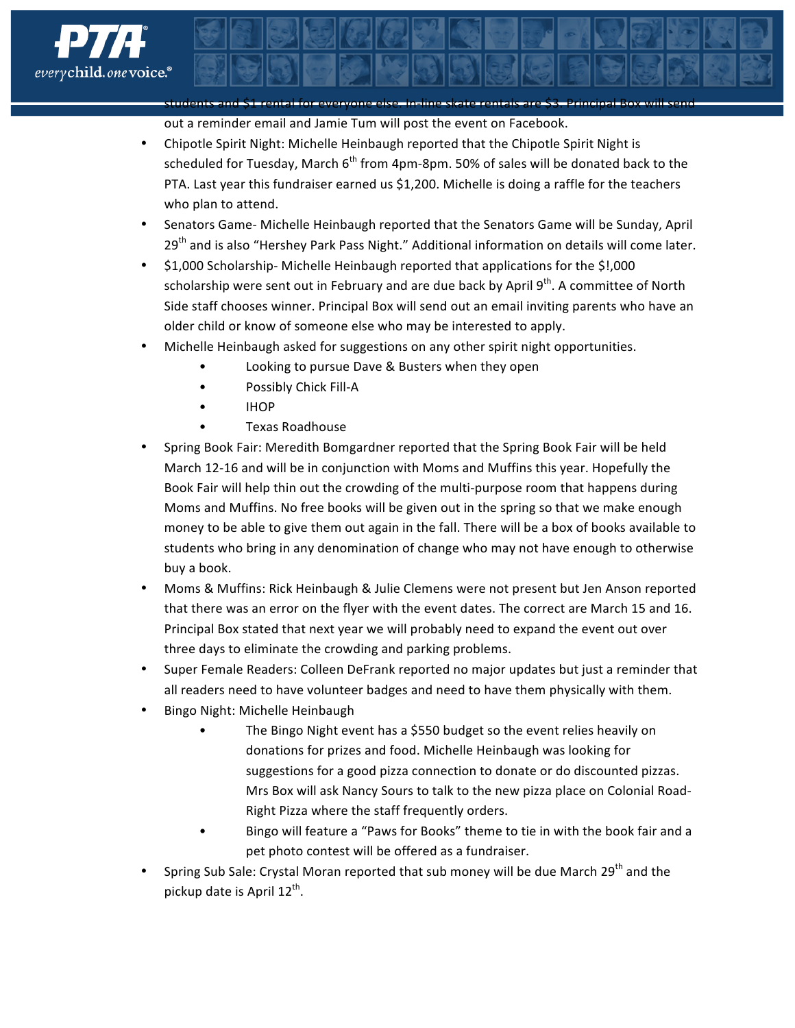

students and \$1 rental for everyone else. In-line skate rentals are \$3. Principal Box will send out a reminder email and Jamie Tum will post the event on Facebook.

- Chipotle Spirit Night: Michelle Heinbaugh reported that the Chipotle Spirit Night is scheduled for Tuesday, March  $6<sup>th</sup>$  from 4pm-8pm. 50% of sales will be donated back to the PTA. Last year this fundraiser earned us \$1,200. Michelle is doing a raffle for the teachers who plan to attend.
- Senators Game- Michelle Heinbaugh reported that the Senators Game will be Sunday, April  $29<sup>th</sup>$  and is also "Hershey Park Pass Night." Additional information on details will come later.
- \$1,000 Scholarship- Michelle Heinbaugh reported that applications for the \$!,000 scholarship were sent out in February and are due back by April 9<sup>th</sup>. A committee of North Side staff chooses winner. Principal Box will send out an email inviting parents who have an older child or know of someone else who may be interested to apply.
- Michelle Heinbaugh asked for suggestions on any other spirit night opportunities.
	- Looking to pursue Dave & Busters when they open
	- Possibly Chick Fill-A
	- IHOP
	- Texas Roadhouse
- Spring Book Fair: Meredith Bomgardner reported that the Spring Book Fair will be held March 12-16 and will be in conjunction with Moms and Muffins this year. Hopefully the Book Fair will help thin out the crowding of the multi-purpose room that happens during Moms and Muffins. No free books will be given out in the spring so that we make enough money to be able to give them out again in the fall. There will be a box of books available to students who bring in any denomination of change who may not have enough to otherwise buy a book.
- Moms & Muffins: Rick Heinbaugh & Julie Clemens were not present but Jen Anson reported that there was an error on the flyer with the event dates. The correct are March 15 and 16. Principal Box stated that next year we will probably need to expand the event out over three days to eliminate the crowding and parking problems.
- Super Female Readers: Colleen DeFrank reported no major updates but just a reminder that all readers need to have volunteer badges and need to have them physically with them.
- Bingo Night: Michelle Heinbaugh
	- The Bingo Night event has a \$550 budget so the event relies heavily on donations for prizes and food. Michelle Heinbaugh was looking for suggestions for a good pizza connection to donate or do discounted pizzas. Mrs Box will ask Nancy Sours to talk to the new pizza place on Colonial Road-Right Pizza where the staff frequently orders.
	- Bingo will feature a "Paws for Books" theme to tie in with the book fair and a pet photo contest will be offered as a fundraiser.
- Spring Sub Sale: Crystal Moran reported that sub money will be due March 29<sup>th</sup> and the pickup date is April  $12^{th}$ .